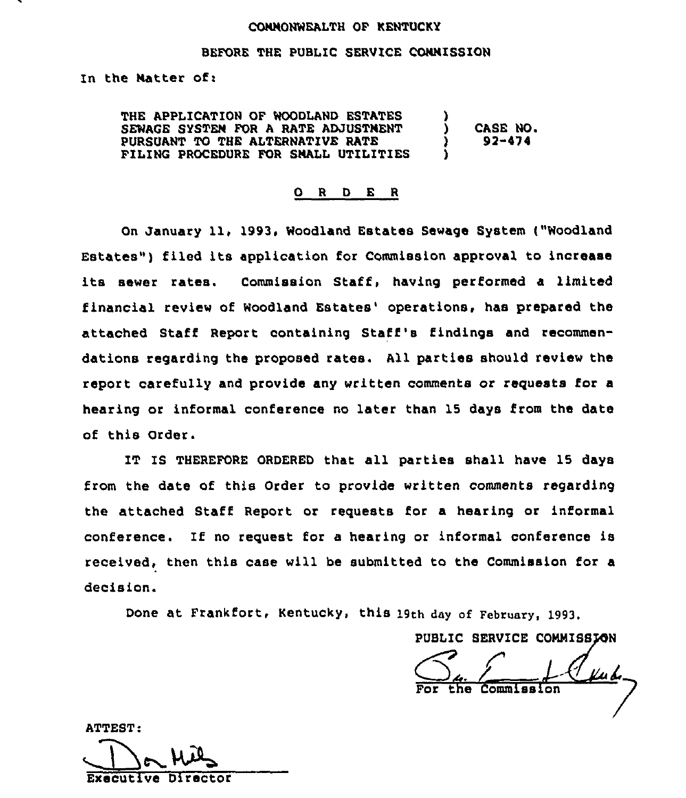## CONNONNEALTH OF KENTUCKY

## BEFORE THE PUBLIC SERVICE CONNISSION

In the Natter of:

THE APPLICATION OF NOODLAND ESTATES SENAGE SYSTEN FOR A RATE ADJUSTNENT PURSUANT TO THE ALTERNATIVE RATE FILING PROCEDURE FOR SHALL UTILITIES ر<br>) ) CASE NO. 93-4ys'

#### 0 <sup>R</sup> <sup>D</sup> E <sup>R</sup>

On January 11, 1993, Woodland Estates Sewaqe System ("Noodland Estates") filed its application for Commission approval to increase its sewer rates. Commission Staff, having performed <sup>a</sup> limited financial review of Woodland Estates' operations, has prepared the attached Staff Report containing Staff's findings and recommendations regarding the proposed rates. All parties should review the report carefully and provide any written comments or requests for a hearing or informal conference no later than 15 days from the date of this Order.

IT IS THEREFORE ORDERED that all Parties shall have 15 days from the date of this Order to provide written comments regarding the attached Staff Report or requests for a hearing or informal conference. If no request for a hearing or informal conference is received, then this case will be submitted to the Commission for a decision.

Done at Frankfort, Kentucky, this 19th day af February, 1993.

PUBLIC SERVICE COMMISSION

 $\perp$ For the Commissio

ATTEST:

Executive Director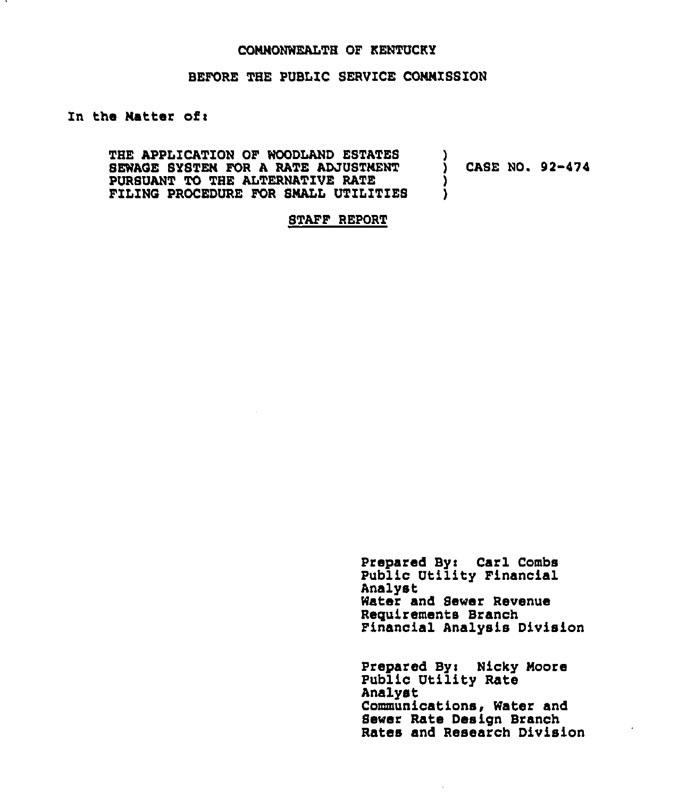### CONNONWEALTH OF KENTUCKY

## BEFORE THE PUBLIC SERVICE CONNISSION

# In the Natter of:

THE APPLICATION OF WOODLAND ESTATES SEWAGE SYSTEN FOR A RATE ADJUSTNENT PURSUANT TO THE ALTERWATZVE RATE FILING PROCEDURE FOR SMALL UTILITIES  $\frac{1}{2}$ CASE NO. 92-474 ) )

STAFF REPORT

Prepared By: Carl Combs Public Utility Financial Analyst Water and Sewer Revenue Requirements Branch Financial Analysis Division

Prepared Byi Hicky Noore Public Utility Rate Analyst Communications, Water and Sewer Rate Design Branch Rates and Research Division

 $\mathcal{L}$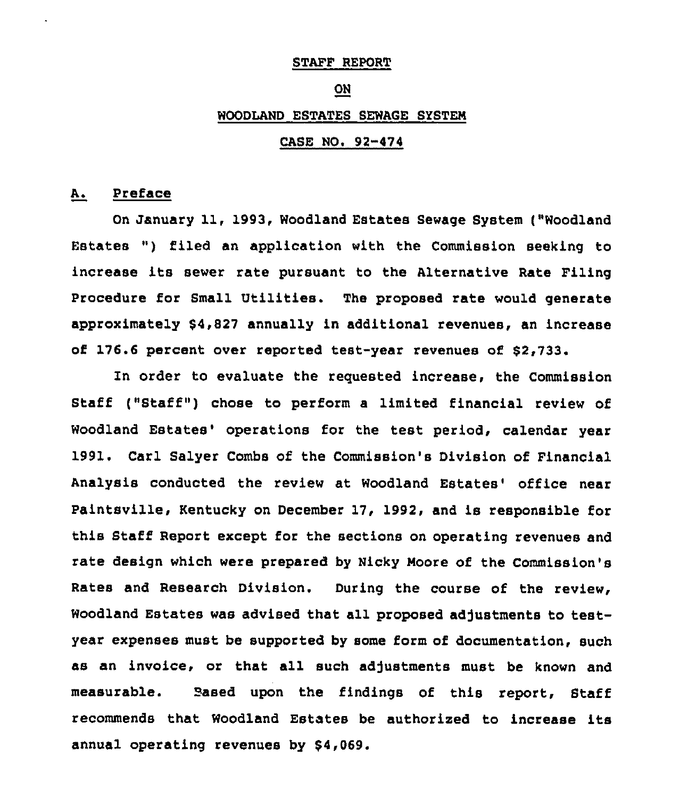#### STAFF REPORT

#### ON

# WOODLAND ESTATES SEWAGE SYSTEM

#### CASE NO. 92-474

# A. Preface

On January 11, 1993, Woodland Estates Sewage System ("Woodland Estates ") filed an application with the Commission seeking to increase its sewer rate pursuant to the Alternative Rate Filing Procedure for Small Utilities. The proposed rate would generate approximately \$4,827 annually in additional revenues, an increase of 176.6 percent over reported test-year revenues of \$2,733.

In order to evaluate the requested increase, the Commission Staff ("Staff") chose to perform a limited financial review of Woodland Estates' operations for the test period, calendar year 1991, Carl Salyer Combs of the Commission's Division of Financial Analysis conducted the review at Woodland Estates' office near Paintsville, Kentucky on December 17, 1992, and is responsible for this Staff Report except for the sections on operating revenues and rate design which were prepared by Nicky Moore of the Commission's Rates and Research Division. During the course of the review, Woodland Estates was advised that all proposed adjustments to testyear expenses must be supported by some form of documentation, such as an invoice, or that all such adjustments must be known and measurable. Eased upon the findings ot this report, Staff recommends that Woodland Estates be authorized to increase its annual operating revenues by \$4,069.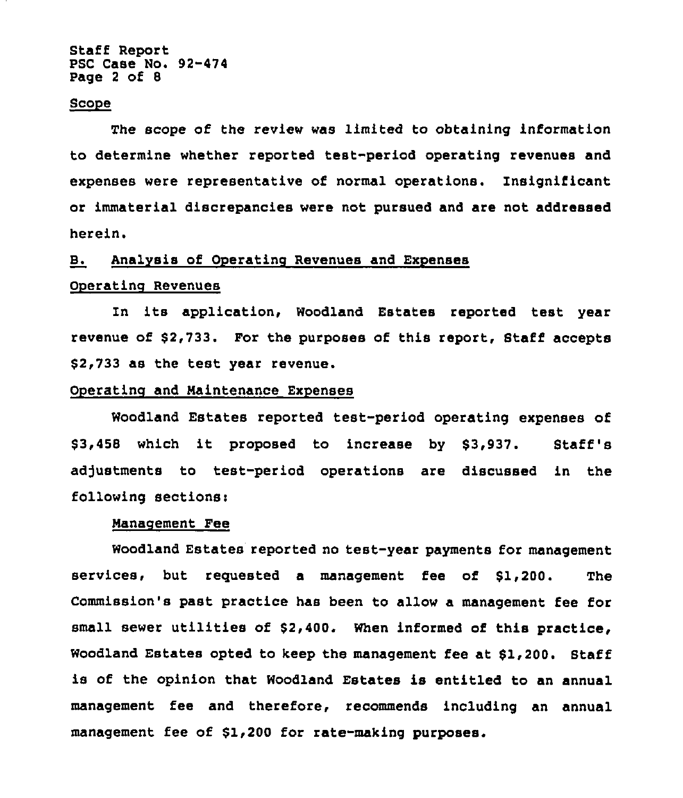Staff Report PSC Case No. 92-474 Page <sup>2</sup> of 8

#### Scope

The scope of the review was limited to obtaining information to determine whether reported test-period operating revenues and expenses were representative of normal operations. Insignificant or immaterial discrepancies were not pursued and are not addressed herein.

# B. Analysis of Operating Revenues and Expenses

#### Oneratino Revenues

In its application, Woodland Estates reported test year revenue of \$2,733. For the purposes of this report, Staff accepts \$2,733 as the test year revenue.

# Operating and Maintenance Expenses

Woodland Estates reported test-period operating expenses of \$3,458 which it proposed to increase by \$3,937. Staff's adjustments to test-period operations are discussed in the following sections:

## Nanaoement Fee

Woodland Estates reported no test-year payments for management services, but requested a management fee of \$1,200. The Commission's past practice has been to allow a management fee for small sewer utilities of \$2,400. When informed of this practice, Woodland Estates opted to keep the management fee at \$1,200. Staff is of the opinion that Woodland Estates is entitled to an annual management fee and therefore, recommends including an annual management fee of \$1,200 for rate-making purposes.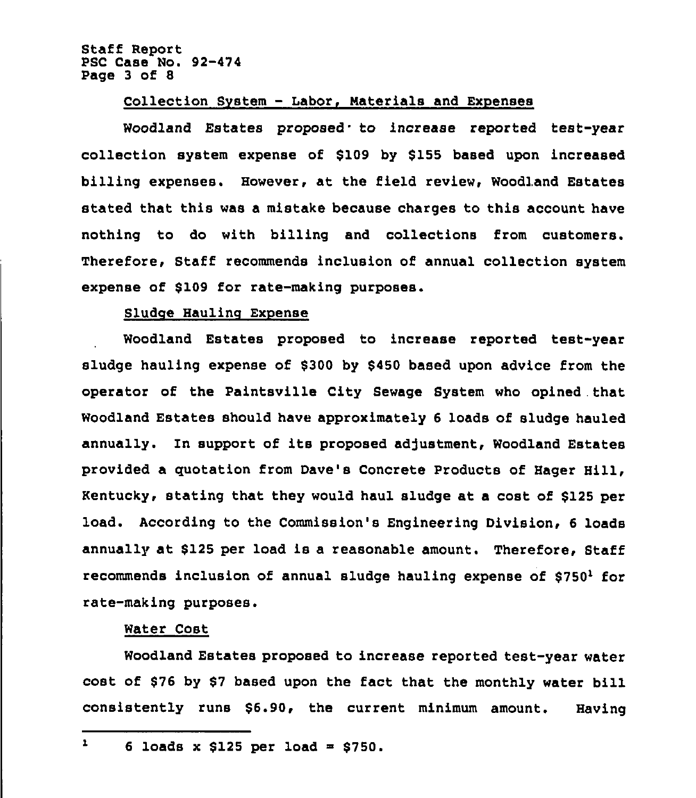Staff Report PSC Case No. 92-474 Page 3 of 8

# Collection System - Labor, Materials and Expenses

Woodland Estates proposed to increase reported test-year collection system expense of \$109 by \$155 based upon increased billing expenses. However, at the field review, Woodland Estates stated that this was a mistake because charges to this account have nothing to do with billing and collections from customers. Therefore, Staff recommends inclusion of annual collection system expense of \$109 for rate-making purposes.

## Sludge Hauling Expense

Woodland Estates proposed to increase reported test-year sludge hauling expense of \$300 by \$450 based upon advice from the operator of the Paintsville City Sewage System who opined that Woodland Estates should have approximately 6 loads of sludge hauled annually. In support of its proposed adjustment, Woodland Estates provided a quotation from Dave's Concrete Products of Eager Hill, Kentucky, stating that they would haul sludge at a cost of \$125 per load. According to the Commission's Engineering Division, 6 loads annually at \$125 per load is a reasonable amount. Therefore, Staff recommends inclusion of annual sludge hauling expense of  $$750<sup>1</sup>$  for rate-making purposes.

# Water Cost

Woodland Estates proposed to increase reported test-year water cost of \$76 by \$7 based upon the fact that the monthly water bill consistently runs \$6.90, the current minimum amount. Having

 $\mathbf{L}$ 6 loads x  $$125$  per load =  $$750.$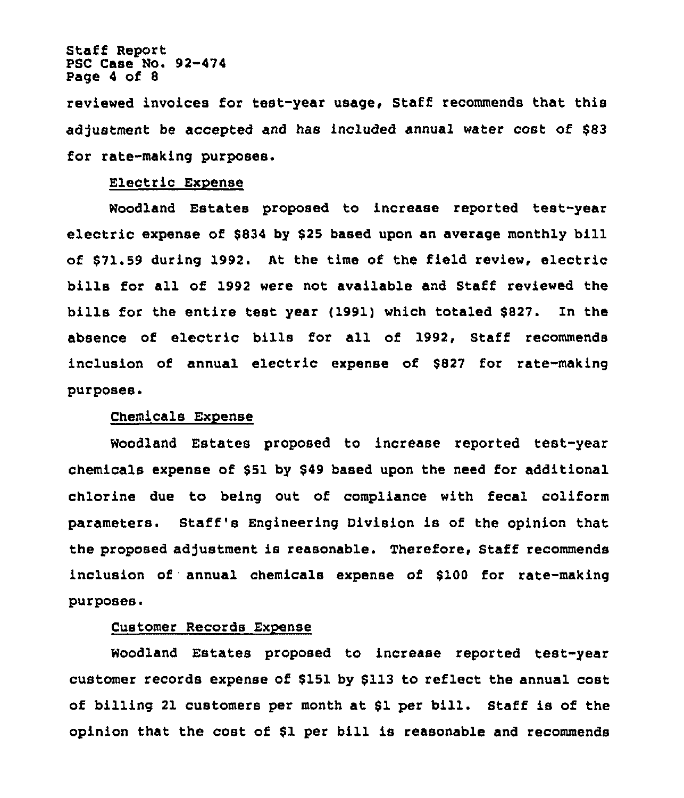Staff Report PSC Case Mo. 92-474 Page 4 of 8

reviewed invoices for test-year usage, Staff recommends that this adjustment be accepted and has included annual water cost of \$83 for rate-making purposes.

# Electric Exnense

Woodland Estates proposed to increase reported test-year electric expense of \$834 by \$<sup>25</sup> based upon an average monthly bill of \$71.59 during 1992. At the time of the field review, electric bills for all of 1992 were not available and Staff reviewed the bills for the entire test year (1991) which totaled \$827. In the absence of electric bills for all of 1992, Staff recommends inclusion of annual electric expense of \$827 for rate-making purposes.

## purposes'hemicals Chemicals Expense

Woodland Estates proposed to increase reported test-year chemicals expense of \$51 by \$49 based upon the need for additional chlorine due to being out of compliance with fecal coliform parameters. Staff's Engineering Division is of the opinion that the proposed adjustment is reasonable. Therefore, Staff recommends inclusion of annual chemicals expense of \$100 for rate-making purposes.

# Customer Records Expense

Woodland Estates proposed to increase reported test-year customer records expense of \$151 by \$113 to reflect the annual cost of billing <sup>21</sup> customers per month at \$1 per bill. Staff is of the opinion that the cost of \$1 per bill is reasonable and recommends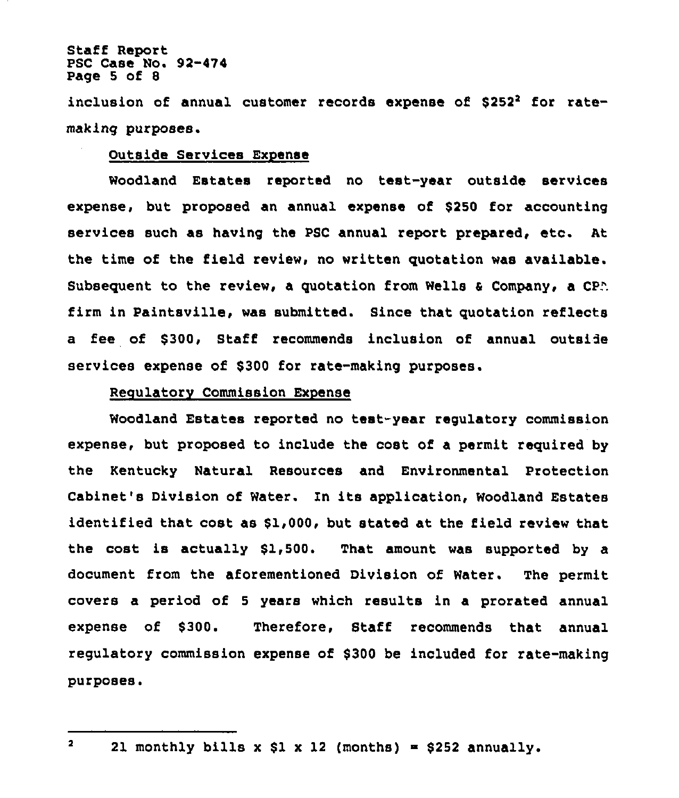Staff Report PSC Case No. 92-474 Page 5 of 8

inclusion of annual customer records expense of \$252<sup>2</sup> for ratemaking purposes.

## Outside Services Expense

Woodland Estates reported no teat-year outside services expense, but proposed an annual expense of \$250 for accounting services such as having the PSC annual report prepared, etc. At the time of the field review, no written quotation was available. Subsequent to the review, a quotation from Wells & Company, a CPA firm in Paintsville, was submitted. Since that quotation reflects a fee of \$300, Staff recommends inclusion of annual outside services expense of \$300 for rate-making purposes.

## Regulatory Commission Expense

Woodland Estates reported no test-year regulatory commission expense, but proposed to include the cost of a permit required by the Kentucky Natural Resources and Environmental Protection Cabinet's Division of Water. In its application, Woodland Estates identified that cost as \$1,000, but stated at the field review that the cost is actually \$1,500. That amount was supported by a document from the aforementioned Division of Water. The permit covers a period of <sup>5</sup> years which results in a prorated annual expense of \$300. Therefore, Staff recommends that annual regulatory commission expense of \$300 be included for rate-making purposes.

 $\mathbf{2}$ 21 monthly bills x \$1 x 12 (months) = \$252 annually.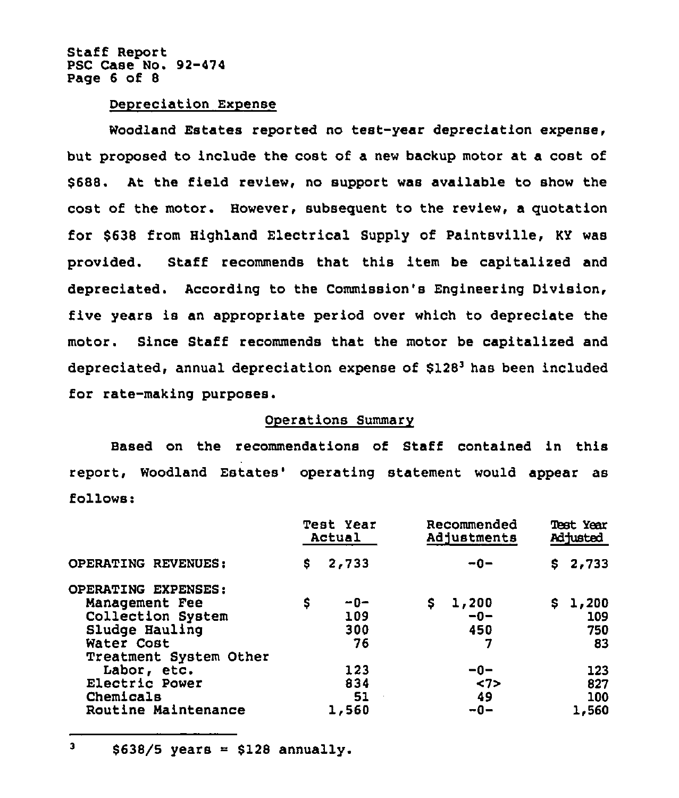Staff Report PSC Case No. 92-474 Page 6 of 8

#### Depreciation Expense

Woodland Estates reported no test-year depreciation expense, but proposed to include the cost of a new backup motor at a cost of \$688. At the field review, no support was available to show the cost of the motor. However, subsequent to the review, a quotation for \$638 from Highland Electrical Supply of Paintsville, KY was provided. Staff recommends that this item be capitalized and depreciated. According to the Commission's Engineering Division, five years is an appropriate period over which to depreciate the motor. Since Staff recommends that the motor be capitalized and depreciated, annual depreciation expense of \$128<sup>3</sup> has been included for rate-making purposes.

#### Operations Summary

Based on the recommendations of Staff contained in this report, Woodland Estates' operating statement would appear as follows:

|                        |    | Test Year<br>Actual |     | Recommended<br>Adjustments |  | <b>Test Year</b><br>Adjusted |  |
|------------------------|----|---------------------|-----|----------------------------|--|------------------------------|--|
| OPERATING REVENUES:    | S. | 2,733               |     | $-0-$                      |  | \$2,733                      |  |
| OPERATING EXPENSES:    |    |                     |     |                            |  |                              |  |
| Management Fee         | \$ | $-0-$               | \$. | 1,200                      |  | \$1,200                      |  |
| Collection System      |    | 109                 |     | $-0-$                      |  | 109                          |  |
| Sludge Hauling         |    | 300                 |     | 450                        |  | 750                          |  |
| Water Cost             |    | 76                  |     | 7                          |  | 83                           |  |
| Treatment System Other |    |                     |     |                            |  |                              |  |
| Labor, etc.            |    | 123                 |     | -0-                        |  | 123                          |  |
| Electric Power         |    | 834                 |     | $\langle 7 \rangle$        |  | 827                          |  |
| Chemicals              |    | 51<br>$\cdot$       |     | 49                         |  | 100                          |  |
| Routine Maintenance    |    | 1,560               |     | $-0-$                      |  | 1,560                        |  |

 $\overline{\mathbf{3}}$  $$638/5$  years =  $$128$  annually.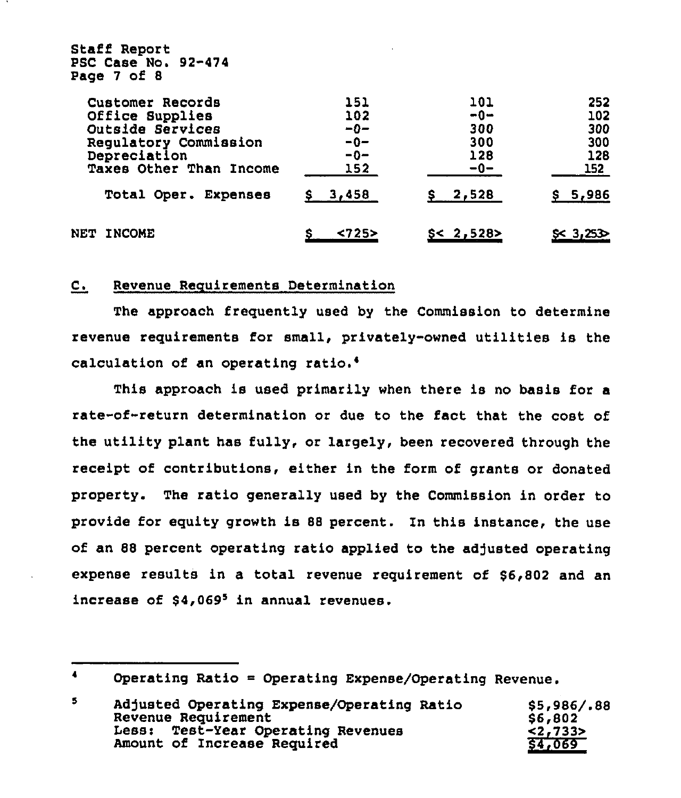| PSC Case No. 92-474<br>Page 7 of 8 |         |           |              |
|------------------------------------|---------|-----------|--------------|
| Customer Records                   | 151     | 101       | 252          |
| Office Supplies                    | 102     | $-0-$     | 102          |
| Outside Services                   | -0-     | 300       | 300          |
| Regulatory Commission              | -0-     | 300       | 300          |
| Depreciation                       | $-0-$   | 128       | 128          |
| Taxes Other Than Income            | 152     | $-0-$     | 152          |
| Total Oper. Expenses               | \$3,458 | \$2,528   | \$5,986      |
| NET<br><b>INCOME</b>               | 25>     | S < 2,528 | $55 - 3,253$ |

#### $\mathbf{C}$ . Revenue Requirements Determination

Staff Report

The approach frequently used by the Commission to determine revenue requirements for small, privately-owned utilities ls the calculation of an operating

This approach is used primarily when there is no basis for a rate-of-return determination or due to the fact that the cost of the utility plant has fully, or largely, been recovered through the receipt of contributions, either in the form of grants or donated property. The ratio generally used by the Commission in order to provide for equity growth is <sup>88</sup> percent. In this instance, the use of an 88 percent operating ratio applied to the adjusted operating expense results in a total revenue requirement of \$6,802 and an increase of  $$4,069<sup>5</sup>$  in annual revenues.

Operating Ratio = Operating Expense/Operating Revenue.

| 5 | Adjusted Operating Expense/Operating Ratio | \$5,986/.88 |
|---|--------------------------------------------|-------------|
|   | Revenue Requirement                        | \$6,802     |
|   | Less: Test-Year Operating Revenues         | < 2,733>    |
|   | Amount of Increase Required                | \$4,069     |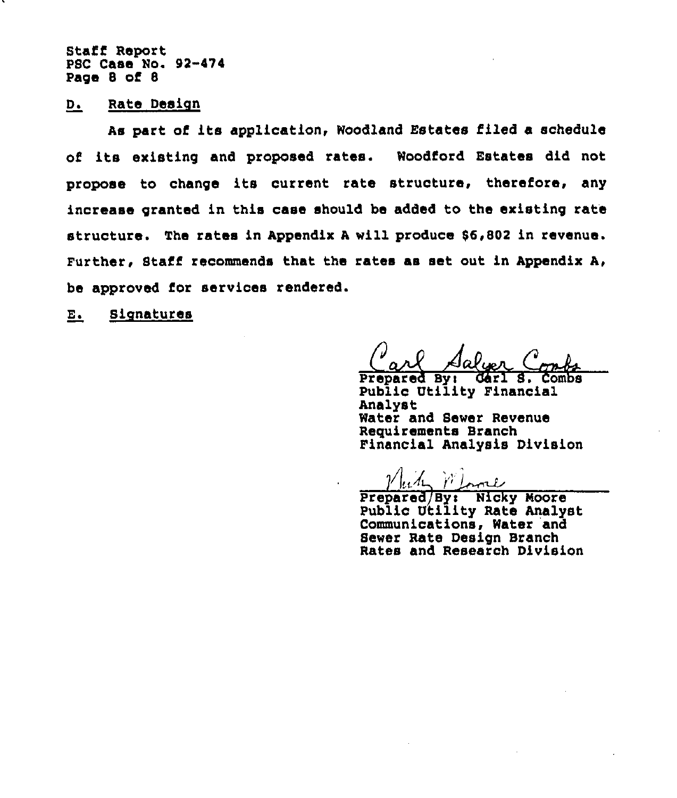Staff Report PSC Case No. 92-474 Page 8 of 8

## D. Rate Design

As part of its application, Woodland Estates filed a schedule of its existing and proposed rates. Woodford Estates did not propose to change its current rate structure, therefore, any increase granted in this case should be added to the existing rate structure. The rates in Appendix <sup>A</sup> will produce 86,802 in revenue. Further, Staff recommends that the rates as set out in Appendix A, be approved for services rendered.

E. Signatures

Carl A <u> Salyer</u> luer Combo<br>Carl s. combo

Prepared By: Gárl S. Combs<br>Public Utility Financial Analyst Water and Sewer Revenue Requirements Branch Financial Analysis Division

 $\mathcal{V}$  and  $\mathcal{V}$  loose Prepared By: Nicky Moore Public Utility Rate Analyst Communications, Water and Sewer Rate Design Branch Rates and Research Division